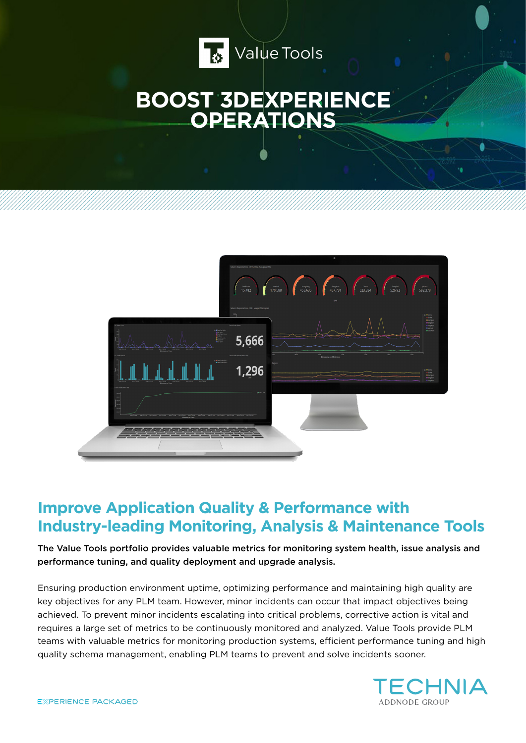

# **BOOST 3DEXPERIENCE OPERATIONS**



# **Improve Application Quality & Performance with Industry-leading Monitoring, Analysis & Maintenance Tools**

The Value Tools portfolio provides valuable metrics for monitoring system health, issue analysis and performance tuning, and quality deployment and upgrade analysis.

Ensuring production environment uptime, optimizing performance and maintaining high quality are key objectives for any PLM team. However, minor incidents can occur that impact objectives being achieved. To prevent minor incidents escalating into critical problems, corrective action is vital and requires a large set of metrics to be continuously monitored and analyzed. Value Tools provide PLM teams with valuable metrics for monitoring production systems, efficient performance tuning and high quality schema management, enabling PLM teams to prevent and solve incidents sooner.

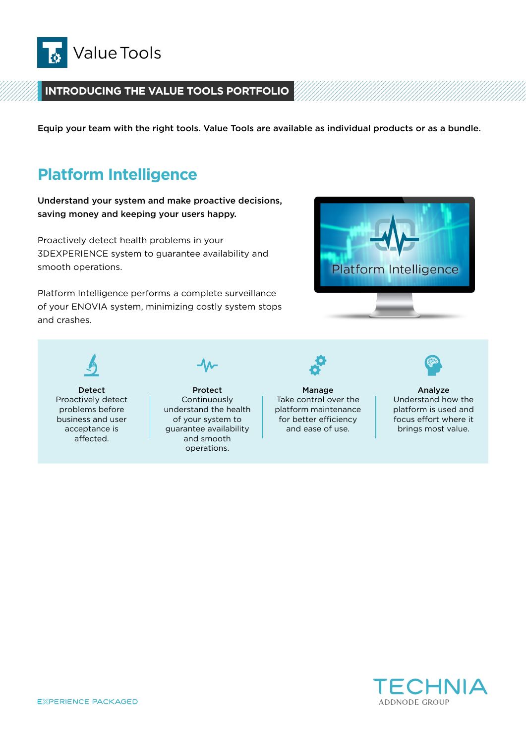

#### **INTRODUCING THE VALUE TOOLS PORTFOLIO**

Equip your team with the right tools. Value Tools are available as individual products or as a bundle.

### **Platform Intelligence**

Understand your system and make proactive decisions, saving money and keeping your users happy.

Proactively detect health problems in your 3DEXPERIENCE system to guarantee availability and smooth operations.

Platform Intelligence performs a complete surveillance of your ENOVIA system, minimizing costly system stops and crashes.



Detect Proactively detect problems before business and user acceptance is affected.



Protect Continuously understand the health of your system to guarantee availability and smooth operations.

Manage Take control over the

platform maintenance for better efficiency and ease of use.

Analyze Understand how the platform is used and focus effort where it brings most value.

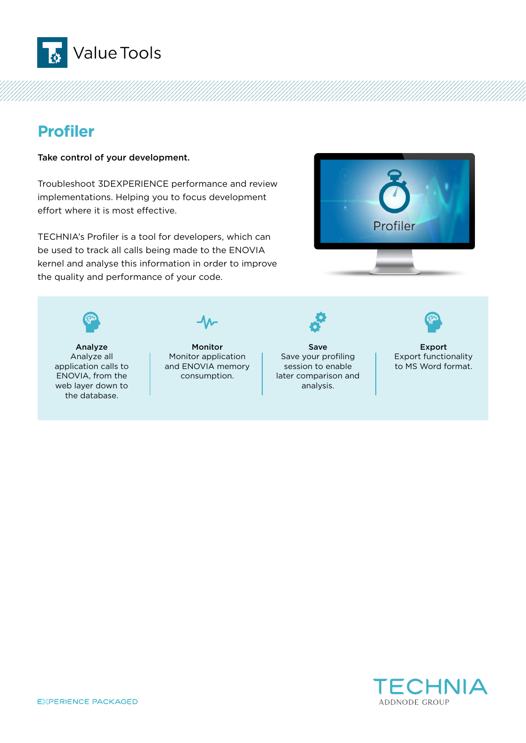

# **Profiler**

Take control of your development.

Troubleshoot 3DEXPERIENCE performance and review implementations. Helping you to focus development effort where it is most effective.

TECHNIA's Profiler is a tool for developers, which can be used to track all calls being made to the ENOVIA kernel and analyse this information in order to improve the quality and performance of your code.



Analyze Analyze all application calls to ENOVIA, from the web layer down to the database.

Monitor Monitor application and ENOVIA memory consumption.



Save Save your profiling session to enable later comparison and analysis.



Export Export functionality to MS Word format.